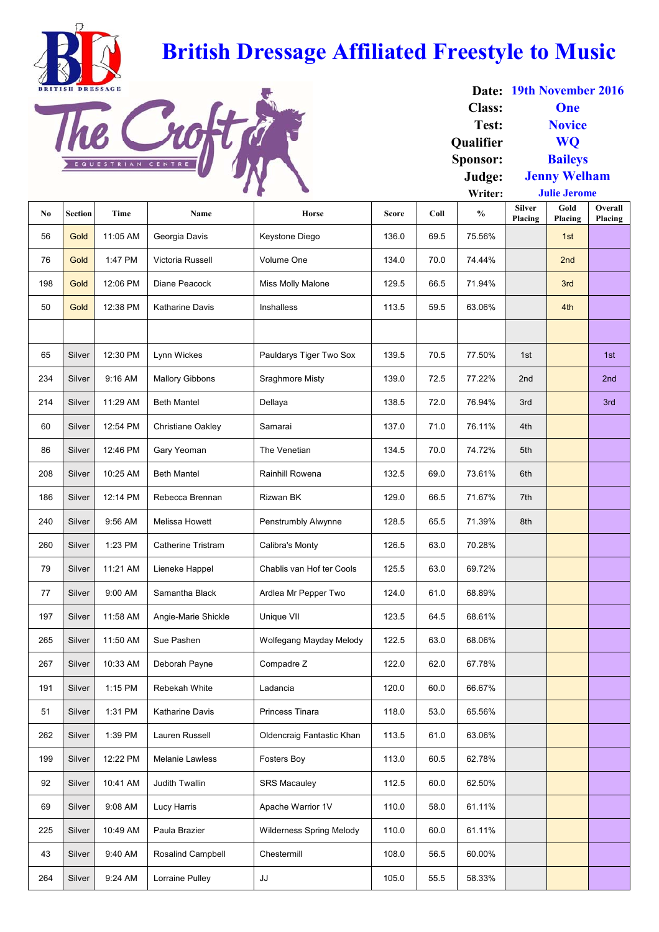**British Dressage Affiliated Freestyle to Music**

**Date: 19th November 2016**



|     |                |                  |                           |                                 |              |      | <b>Class:</b>                      |                          | One                 |                    |
|-----|----------------|------------------|---------------------------|---------------------------------|--------------|------|------------------------------------|--------------------------|---------------------|--------------------|
|     |                |                  |                           |                                 |              |      | Test:                              |                          | <b>Novice</b>       |                    |
|     |                |                  |                           |                                 |              |      | Qualifier                          |                          | <b>WQ</b>           |                    |
|     |                | EQUESTRIAN CENTR |                           |                                 |              |      | Sponsor:                           |                          | <b>Baileys</b>      |                    |
|     |                |                  |                           |                                 |              |      | Judge:                             |                          | <b>Jenny Welham</b> |                    |
|     |                |                  |                           |                                 |              |      | Writer:                            |                          | <b>Julie Jerome</b> |                    |
| No  | <b>Section</b> | Time             | Name                      | <b>Horse</b>                    | <b>Score</b> | Coll | $\mathbf{0}_{\mathbf{0}}^{\prime}$ | <b>Silver</b><br>Placing | Gold<br>Placing     | Overall<br>Placing |
| 56  | Gold           | 11:05 AM         | Georgia Davis             | Keystone Diego                  | 136.0        | 69.5 | 75.56%                             |                          | 1st                 |                    |
| 76  | Gold           | 1:47 PM          | Victoria Russell          | Volume One                      | 134.0        | 70.0 | 74.44%                             |                          | 2nd                 |                    |
| 198 | Gold           | 12:06 PM         | Diane Peacock             | Miss Molly Malone               | 129.5        | 66.5 | 71.94%                             |                          | 3rd                 |                    |
| 50  | Gold           | 12:38 PM         | <b>Katharine Davis</b>    | Inshalless                      | 113.5        | 59.5 | 63.06%                             |                          | 4th                 |                    |
|     |                |                  |                           |                                 |              |      |                                    |                          |                     |                    |
| 65  | Silver         | 12:30 PM         | Lynn Wickes               | Pauldarys Tiger Two Sox         | 139.5        | 70.5 | 77.50%                             | 1st                      |                     | 1st                |
| 234 | Silver         | 9:16 AM          | <b>Mallory Gibbons</b>    | Sraghmore Misty                 | 139.0        | 72.5 | 77.22%                             | 2nd                      |                     | 2 <sub>nd</sub>    |
| 214 | Silver         | 11:29 AM         | <b>Beth Mantel</b>        | Dellaya                         | 138.5        | 72.0 | 76.94%                             | 3rd                      |                     | 3rd                |
| 60  | Silver         | 12:54 PM         | Christiane Oakley         | Samarai                         | 137.0        | 71.0 | 76.11%                             | 4th                      |                     |                    |
| 86  | Silver         | 12:46 PM         | Gary Yeoman               | The Venetian                    | 134.5        | 70.0 | 74.72%                             | 5th                      |                     |                    |
| 208 | Silver         | 10:25 AM         | <b>Beth Mantel</b>        | Rainhill Rowena                 | 132.5        | 69.0 | 73.61%                             | 6th                      |                     |                    |
| 186 | Silver         | 12:14 PM         | Rebecca Brennan           | Rizwan BK                       | 129.0        | 66.5 | 71.67%                             | 7th                      |                     |                    |
| 240 | Silver         | 9:56 AM          | Melissa Howett            | Penstrumbly Alwynne             | 128.5        | 65.5 | 71.39%                             | 8th                      |                     |                    |
| 260 | Silver         | 1:23 PM          | <b>Catherine Tristram</b> | Calibra's Monty                 | 126.5        | 63.0 | 70.28%                             |                          |                     |                    |
| 79  | Silver         | 11:21 AM         | Lieneke Happel            | Chablis van Hof ter Cools       | 125.5        | 63.0 | 69.72%                             |                          |                     |                    |
| 77  | Silver         | 9:00 AM          | Samantha Black            | Ardlea Mr Pepper Two            | 124.0        | 61.0 | 68.89%                             |                          |                     |                    |
| 197 | Silver         | 11:58 AM         | Angie-Marie Shickle       | Unique VII                      | 123.5        | 64.5 | 68.61%                             |                          |                     |                    |
| 265 | Silver         | 11:50 AM         | Sue Pashen                | Wolfegang Mayday Melody         | 122.5        | 63.0 | 68.06%                             |                          |                     |                    |
| 267 | Silver         | 10:33 AM         | Deborah Payne             | Compadre Z                      | 122.0        | 62.0 | 67.78%                             |                          |                     |                    |
| 191 | Silver         | 1:15 PM          | Rebekah White             | Ladancia                        | 120.0        | 60.0 | 66.67%                             |                          |                     |                    |
| 51  | Silver         | 1:31 PM          | Katharine Davis           | <b>Princess Tinara</b>          | 118.0        | 53.0 | 65.56%                             |                          |                     |                    |
| 262 | Silver         | 1:39 PM          | Lauren Russell            | Oldencraig Fantastic Khan       | 113.5        | 61.0 | 63.06%                             |                          |                     |                    |
| 199 | Silver         | 12:22 PM         | Melanie Lawless           | Fosters Boy                     | 113.0        | 60.5 | 62.78%                             |                          |                     |                    |
| 92  | Silver         | 10:41 AM         | Judith Twallin            | <b>SRS Macauley</b>             | 112.5        | 60.0 | 62.50%                             |                          |                     |                    |
| 69  | Silver         | 9:08 AM          | Lucy Harris               | Apache Warrior 1V               | 110.0        | 58.0 | 61.11%                             |                          |                     |                    |
| 225 | Silver         | 10:49 AM         | Paula Brazier             | <b>Wilderness Spring Melody</b> | 110.0        | 60.0 | 61.11%                             |                          |                     |                    |
| 43  | Silver         | 9:40 AM          | Rosalind Campbell         | Chestermill                     | 108.0        | 56.5 | 60.00%                             |                          |                     |                    |
| 264 | Silver         | 9:24 AM          | Lorraine Pulley           | JJ                              | 105.0        | 55.5 | 58.33%                             |                          |                     |                    |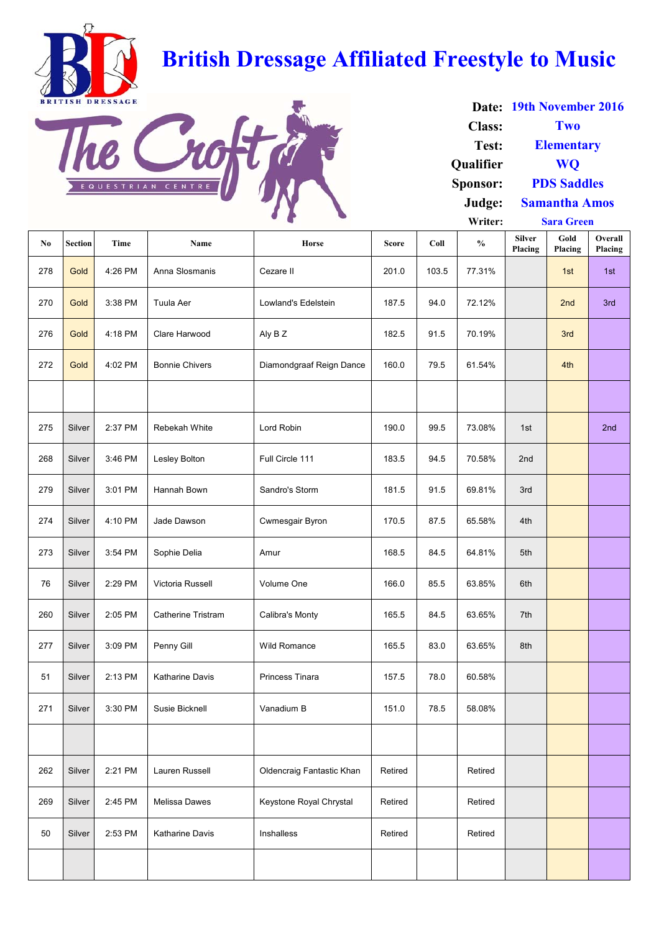**British Dressage Affiliated Freestyle to Music**



|               | Date: 19th November 2016 |
|---------------|--------------------------|
| <b>Class:</b> | Two                      |
| Test:         | <b>Elementary</b>        |
| Qualifier     | <b>WO</b>                |
| Sponsor:      | <b>PDS Saddles</b>       |
| Judge:        | <b>Samantha Amos</b>     |
| Writer·       | Sara Green               |

|     |                |         |                           |                           |              |       | VVIILCI.      |                          | $5a1a$ Gitch    |                    |
|-----|----------------|---------|---------------------------|---------------------------|--------------|-------|---------------|--------------------------|-----------------|--------------------|
| No  | <b>Section</b> | Time    | Name                      | Horse                     | <b>Score</b> | Coll  | $\frac{0}{0}$ | <b>Silver</b><br>Placing | Gold<br>Placing | Overall<br>Placing |
| 278 | Gold           | 4:26 PM | Anna Slosmanis            | Cezare II                 | 201.0        | 103.5 | 77.31%        |                          | 1st             | 1st                |
| 270 | Gold           | 3:38 PM | Tuula Aer                 | Lowland's Edelstein       | 187.5        | 94.0  | 72.12%        |                          | 2nd             | 3rd                |
| 276 | Gold           | 4:18 PM | Clare Harwood             | Aly B Z                   | 182.5        | 91.5  | 70.19%        |                          | 3rd             |                    |
| 272 | Gold           | 4:02 PM | <b>Bonnie Chivers</b>     | Diamondgraaf Reign Dance  | 160.0        | 79.5  | 61.54%        |                          | 4th             |                    |
|     |                |         |                           |                           |              |       |               |                          |                 |                    |
| 275 | Silver         | 2:37 PM | Rebekah White             | Lord Robin                | 190.0        | 99.5  | 73.08%        | 1st                      |                 | 2nd                |
| 268 | Silver         | 3:46 PM | Lesley Bolton             | Full Circle 111           | 183.5        | 94.5  | 70.58%        | 2nd                      |                 |                    |
| 279 | Silver         | 3:01 PM | Hannah Bown               | Sandro's Storm            | 181.5        | 91.5  | 69.81%        | 3rd                      |                 |                    |
| 274 | Silver         | 4:10 PM | Jade Dawson               | Cwmesgair Byron           | 170.5        | 87.5  | 65.58%        | 4th                      |                 |                    |
| 273 | Silver         | 3:54 PM | Sophie Delia              | Amur                      | 168.5        | 84.5  | 64.81%        | 5th                      |                 |                    |
| 76  | Silver         | 2:29 PM | Victoria Russell          | Volume One                | 166.0        | 85.5  | 63.85%        | 6th                      |                 |                    |
| 260 | Silver         | 2:05 PM | <b>Catherine Tristram</b> | Calibra's Monty           | 165.5        | 84.5  | 63.65%        | 7th                      |                 |                    |
| 277 | Silver         | 3:09 PM | Penny Gill                | Wild Romance              | 165.5        | 83.0  | 63.65%        | 8th                      |                 |                    |
| 51  | Silver         | 2:13 PM | Katharine Davis           | Princess Tinara           | 157.5        | 78.0  | 60.58%        |                          |                 |                    |
| 271 | Silver         | 3:30 PM | Susie Bicknell            | Vanadium B                | 151.0        | 78.5  | 58.08%        |                          |                 |                    |
|     |                |         |                           |                           |              |       |               |                          |                 |                    |
| 262 | Silver         | 2:21 PM | Lauren Russell            | Oldencraig Fantastic Khan | Retired      |       | Retired       |                          |                 |                    |
| 269 | Silver         | 2:45 PM | <b>Melissa Dawes</b>      | Keystone Royal Chrystal   | Retired      |       | Retired       |                          |                 |                    |
| 50  | Silver         | 2:53 PM | <b>Katharine Davis</b>    | Inshalless                | Retired      |       | Retired       |                          |                 |                    |
|     |                |         |                           |                           |              |       |               |                          |                 |                    |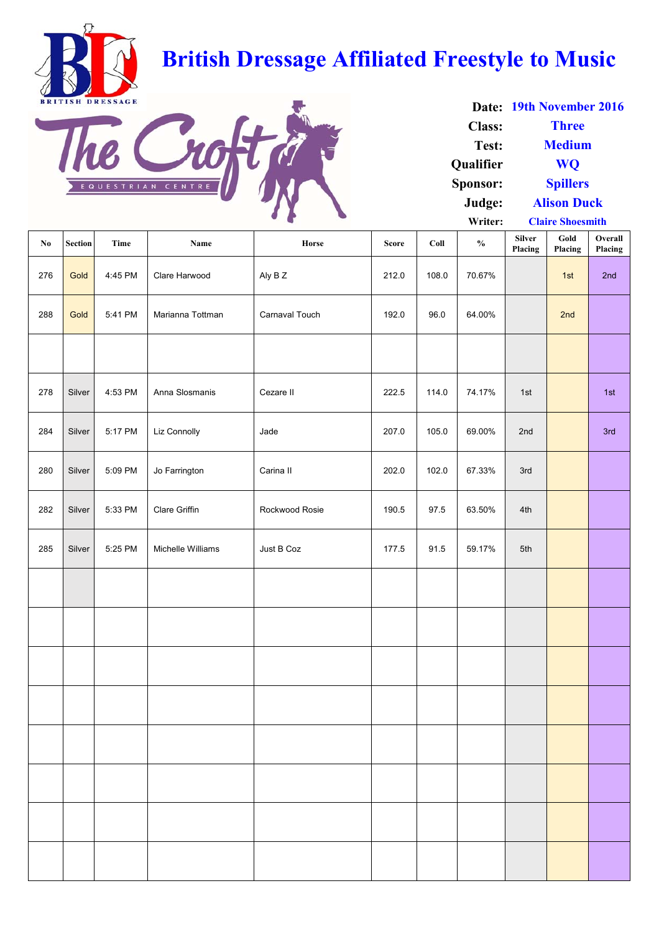**British Dressage Affiliated Freestyle to Music**



|                  | Date: 19th November 2016 |
|------------------|--------------------------|
| <b>Class:</b>    | <b>Three</b>             |
| Test:            | <b>Medium</b>            |
| <b>Qualifier</b> | <b>WO</b>                |
| Sponsor:         | <b>Spillers</b>          |
| Judge:           | <b>Alison Duck</b>       |
| Writer:          | <b>Claire Shoesmith</b>  |

| $\mathbf{N}\mathbf{o}$ | Section | Time    | Name              | Horse          | <b>Score</b> | Coll  | 11111.<br>$\mathbf{0}_{\mathbf{0}}^{\prime}$ | <b>Silver</b><br>Placing | Clan Conocomiun<br>Gold<br>Placing | Overall<br>Placing |
|------------------------|---------|---------|-------------------|----------------|--------------|-------|----------------------------------------------|--------------------------|------------------------------------|--------------------|
| 276                    | Gold    | 4:45 PM | Clare Harwood     | Aly B Z        | 212.0        | 108.0 | 70.67%                                       |                          | 1st                                | 2nd                |
| 288                    | Gold    | 5:41 PM | Marianna Tottman  | Carnaval Touch | 192.0        | 96.0  | 64.00%                                       |                          | 2nd                                |                    |
|                        |         |         |                   |                |              |       |                                              |                          |                                    |                    |
| 278                    | Silver  | 4:53 PM | Anna Slosmanis    | Cezare II      | 222.5        | 114.0 | 74.17%                                       | 1st                      |                                    | 1st                |
| 284                    | Silver  | 5:17 PM | Liz Connolly      | Jade           | 207.0        | 105.0 | 69.00%                                       | 2nd                      |                                    | 3rd                |
| 280                    | Silver  | 5:09 PM | Jo Farrington     | Carina II      | 202.0        | 102.0 | 67.33%                                       | 3rd                      |                                    |                    |
| 282                    | Silver  | 5:33 PM | Clare Griffin     | Rockwood Rosie | 190.5        | 97.5  | 63.50%                                       | 4th                      |                                    |                    |
| 285                    | Silver  | 5:25 PM | Michelle Williams | Just B Coz     | 177.5        | 91.5  | 59.17%                                       | 5th                      |                                    |                    |
|                        |         |         |                   |                |              |       |                                              |                          |                                    |                    |
|                        |         |         |                   |                |              |       |                                              |                          |                                    |                    |
|                        |         |         |                   |                |              |       |                                              |                          |                                    |                    |
|                        |         |         |                   |                |              |       |                                              |                          |                                    |                    |
|                        |         |         |                   |                |              |       |                                              |                          |                                    |                    |
|                        |         |         |                   |                |              |       |                                              |                          |                                    |                    |
|                        |         |         |                   |                |              |       |                                              |                          |                                    |                    |
|                        |         |         |                   |                |              |       |                                              |                          |                                    |                    |